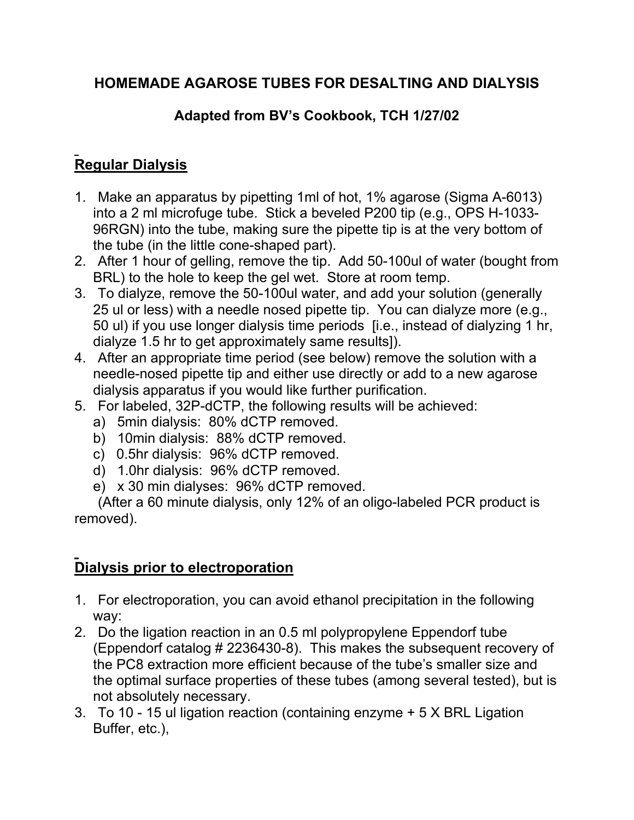## **HOMEMADE AGAROSE TUBES FOR DESALTING AND DIALYSIS**

## **Adapted from BV's Cookbook, TCH 1/27/02**

## **Regular Dialysis**

- 1. Make an apparatus by pipetting 1ml of hot, 1% agarose (Sigma A-6013) into a 2 ml microfuge tube. Stick a beveled P200 tip (e.g., OPS H-1033- 96RGN) into the tube, making sure the pipette tip is at the very bottom of the tube (in the little cone-shaped part).
- 2. After 1 hour of gelling, remove the tip. Add 50-100ul of water (bought from BRL) to the hole to keep the gel wet. Store at room temp.
- 3. To dialyze, remove the 50-100ul water, and add your solution (generally 25 ul or less) with a needle nosed pipette tip. You can dialyze more (e.g., 50 ul) if you use longer dialysis time periods [i.e., instead of dialyzing 1 hr, dialyze 1.5 hr to get approximately same results]).
- 4. After an appropriate time period (see below) remove the solution with a needle-nosed pipette tip and either use directly or add to a new agarose dialysis apparatus if you would like further purification.
- 5. For labeled, 32P-dCTP, the following results will be achieved:
	- a) 5min dialysis: 80% dCTP removed.
	- b) 10min dialysis: 88% dCTP removed.
	- c) 0.5hr dialysis: 96% dCTP removed.
	- d) 1.0hr dialysis: 96% dCTP removed.
	- e) x 30 min dialyses: 96% dCTP removed.

 (After a 60 minute dialysis, only 12% of an oligo-labeled PCR product is removed).

## **Dialysis prior to electroporation**

- 1. For electroporation, you can avoid ethanol precipitation in the following way:
- 2. Do the ligation reaction in an 0.5 ml polypropylene Eppendorf tube (Eppendorf catalog # 2236430-8). This makes the subsequent recovery of the PC8 extraction more efficient because of the tube's smaller size and the optimal surface properties of these tubes (among several tested), but is not absolutely necessary.
- 3. To 10 15 ul ligation reaction (containing enzyme + 5 X BRL Ligation Buffer, etc.),